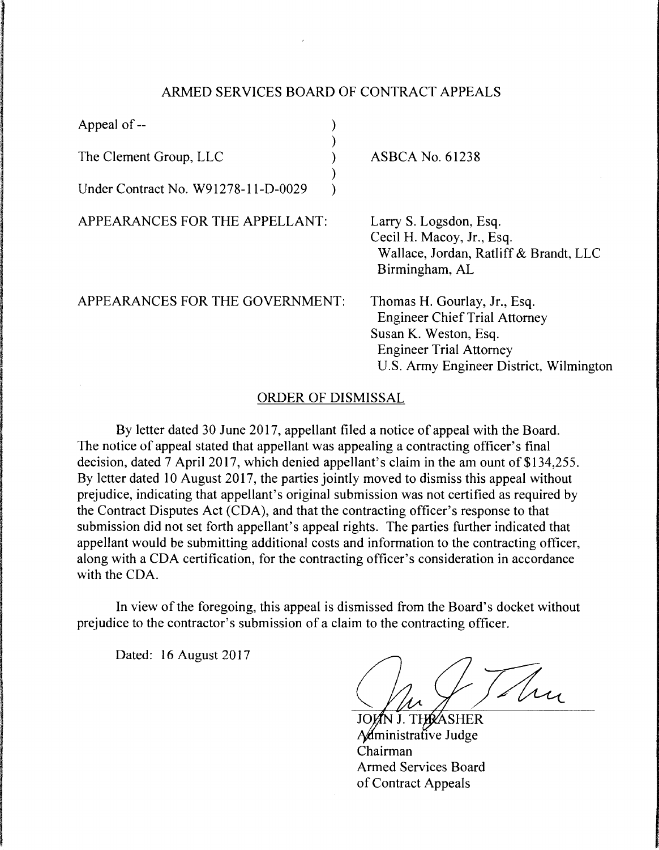## ARMED SERVICES BOARD OF CONTRACT APPEALS

| Appeal of --                        |              |
|-------------------------------------|--------------|
| The Clement Group, LLC              |              |
| Under Contract No. W91278-11-D-0029 |              |
| APPEARANCES FOR THE APPELLANT:      | $\mathbf{a}$ |

SBCA No. 61238

rry S. Logsdon, Esq. Cecil H. Macoy, Jr., Esq. Wallace, Jordan, Ratliff & Brandt, LLC Birmingham, AL

APPEARANCES FOR THE GOVERNMENT:

Thomas H. Gourlay, Jr., Esq. Engineer Chief Trial Attorney Susan K. Weston, Esq. Engineer Trial Attorney U.S. Army Engineer District, Wilmington

## ORDER OF DISMISSAL

By letter dated 30 June 2017, appellant filed a notice of appeal with the Board. The notice of appeal stated that appellant was appealing a contracting officer's final decision, dated 7 April 2017, which denied appellant's claim in the am ount of \$134,255. By letter dated 10 August 2017, the parties jointly moved to dismiss this appeal without prejudice, indicating that appellant's original submission was not certified as required by the Contract Disputes Act (CDA), and that the contracting officer's response to that submission did not set forth appellant's appeal rights. The parties further indicated that appellant would be submitting additional costs and information to the contracting officer, along with a CDA certification, for the contracting officer's consideration in accordance with the CDA.

In view of the foregoing, this appeal is dismissed from the Board's docket without prejudice to the contractor's submission of a claim to the contracting officer.

Dated: 16 August 2017

Thu

**THRASHER** A*d*ministrative Judge Chairman Armed Services Board of Contract Appeals